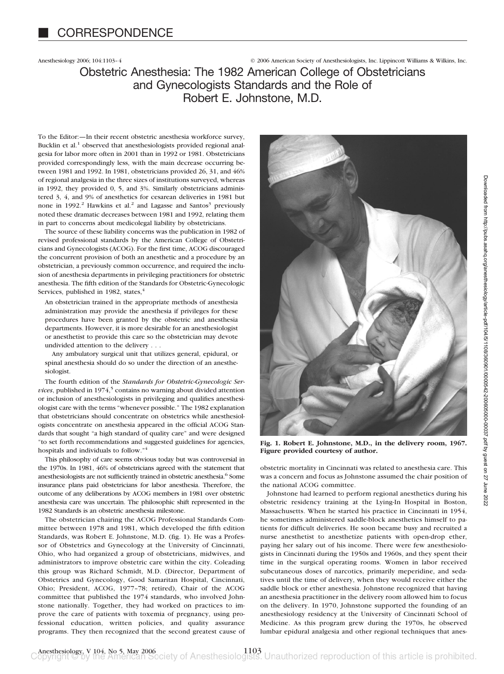Anesthesiology 2006; 104:1103–4 © 2006 American Society of Anesthesiologists, Inc. Lippincott Williams & Wilkins, Inc.

Obstetric Anesthesia: The 1982 American College of Obstetricians and Gynecologists Standards and the Role of Robert E. Johnstone, M.D.

To the Editor:—In their recent obstetric anesthesia workforce survey, Bucklin et al.<sup>1</sup> observed that anesthesiologists provided regional analgesia for labor more often in 2001 than in 1992 or 1981. Obstetricians provided correspondingly less, with the main decrease occurring between 1981 and 1992. In 1981, obstetricians provided 26, 31, and 46% of regional analgesia in the three sizes of institutions surveyed, whereas in 1992, they provided 0, 5, and 3%. Similarly obstetricians administered 3, 4, and 9% of anesthetics for cesarean deliveries in 1981 but none in 1992.<sup>2</sup> Hawkins et al.<sup>2</sup> and Lagasse and Santos<sup>3</sup> previously noted these dramatic decreases between 1981 and 1992, relating them in part to concerns about medicolegal liability by obstetricians.

The source of these liability concerns was the publication in 1982 of revised professional standards by the American College of Obstetricians and Gynecologists (ACOG). For the first time, ACOG discouraged the concurrent provision of both an anesthetic and a procedure by an obstetrician, a previously common occurrence, and required the inclusion of anesthesia departments in privileging practitioners for obstetric anesthesia. The fifth edition of the Standards for Obstetric-Gynecologic Services, published in 1982, states, $4$ 

An obstetrician trained in the appropriate methods of anesthesia administration may provide the anesthesia if privileges for these procedures have been granted by the obstetric and anesthesia departments. However, it is more desirable for an anesthesiologist or anesthetist to provide this care so the obstetrician may devote undivided attention to the delivery...

Any ambulatory surgical unit that utilizes general, epidural, or spinal anesthesia should do so under the direction of an anesthesiologist.

The fourth edition of the *Standards for Obstetric-Gynecologic Ser-, published in*  $1974<sup>5</sup>$  *contains no warning about divided attention* or inclusion of anesthesiologists in privileging and qualifies anesthesiologist care with the terms "whenever possible." The 1982 explanation that obstetricians should concentrate on obstetrics while anesthesiologists concentrate on anesthesia appeared in the official ACOG Standards that sought "a high standard of quality care" and were designed "to set forth recommendations and suggested guidelines for agencies, hospitals and individuals to follow."<sup>4</sup>

This philosophy of care seems obvious today but was controversial in the 1970s. In 1981, 46% of obstetricians agreed with the statement that anesthesiologists are not sufficiently trained in obstetric anesthesia.<sup>6</sup> Some insurance plans paid obstetricians for labor anesthesia. Therefore, the outcome of any deliberations by ACOG members in 1981 over obstetric anesthesia care was uncertain. The philosophic shift represented in the 1982 Standards is an obstetric anesthesia milestone.

The obstetrician chairing the ACOG Professional Standards Committee between 1978 and 1981, which developed the fifth edition Standards, was Robert E. Johnstone, M.D. (fig. 1). He was a Professor of Obstetrics and Gynecology at the University of Cincinnati, Ohio, who had organized a group of obstetricians, midwives, and administrators to improve obstetric care within the city. Coleading this group was Richard Schmidt, M.D. (Director, Department of Obstetrics and Gynecology, Good Samaritan Hospital, Cincinnati, Ohio; President, ACOG, 1977–78; retired), Chair of the ACOG committee that published the 1974 standards, who involved Johnstone nationally. Together, they had worked on practices to improve the care of patients with toxemia of pregnancy, using professional education, written policies, and quality assurance programs. They then recognized that the second greatest cause of



**Fig. 1. Robert E. Johnstone, M.D., in the delivery room, 1967. Figure provided courtesy of author.**

obstetric mortality in Cincinnati was related to anesthesia care. This was a concern and focus as Johnstone assumed the chair position of the national ACOG committee.

Johnstone had learned to perform regional anesthetics during his obstetric residency training at the Lying-In Hospital in Boston, Massachusetts. When he started his practice in Cincinnati in 1954, he sometimes administered saddle-block anesthetics himself to patients for difficult deliveries. He soon became busy and recruited a nurse anesthetist to anesthetize patients with open-drop ether, paying her salary out of his income. There were few anesthesiologists in Cincinnati during the 1950s and 1960s, and they spent their time in the surgical operating rooms. Women in labor received subcutaneous doses of narcotics, primarily meperidine, and sedatives until the time of delivery, when they would receive either the saddle block or ether anesthesia. Johnstone recognized that having an anesthesia practitioner in the delivery room allowed him to focus on the delivery. In 1970, Johnstone supported the founding of an anesthesiology residency at the University of Cincinnati School of Medicine. As this program grew during the 1970s, he observed lumbar epidural analgesia and other regional techniques that anes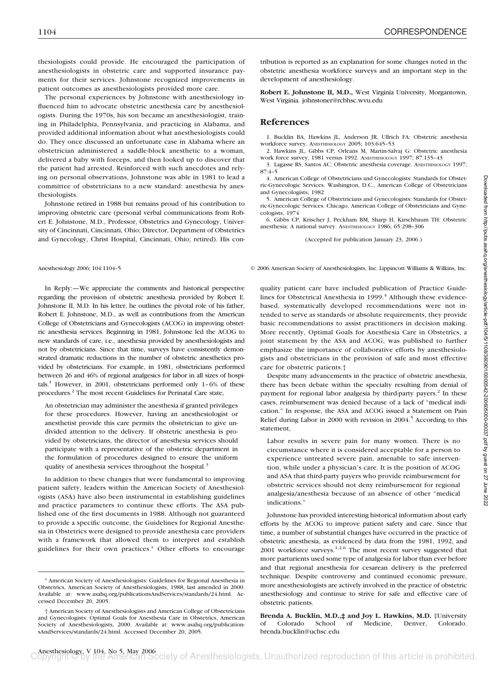thesiologists could provide. He encouraged the participation of anesthesiologists in obstetric care and supported insurance payments for their services. Johnstone recognized improvements in patient outcomes as anesthesiologists provided more care.

The personal experiences by Johnstone with anesthesiology influenced him to advocate obstetric anesthesia care by anesthesiologists. During the 1970s, his son became an anesthesiologist, training in Philadelphia, Pennsylvania, and practicing in Alabama, and provided additional information about what anesthesiologists could do. They once discussed an unfortunate case in Alabama where an obstetrician administered a saddle-block anesthetic to a woman, delivered a baby with forceps, and then looked up to discover that the patient had arrested. Reinforced with such anecdotes and relying on personal observations, Johnstone was able in 1981 to lead a committee of obstetricians to a new standard: anesthesia by anesthesiologists.

Johnstone retired in 1988 but remains proud of his contribution to improving obstetric care (personal verbal communications from Robert E. Johnstone, M.D., Professor, Obstetrics and Gynecology, University of Cincinnati, Cincinnati, Ohio; Director, Department of Obstetrics and Gynecology, Christ Hospital, Cincinnati, Ohio; retired). His con-

In Reply:—We appreciate the comments and historical perspective regarding the provision of obstetric anesthesia provided by Robert E. Johnstone II, M.D. In his letter, he outlines the pivotal role of his father, Robert E. Johnstone, M.D., as well as contributions from the American College of Obstetricians and Gynecologists (ACOG) in improving obstetric anesthesia services. Beginning in 1981, Johnstone led the ACOG to new standards of care, i.e., anesthesia provided by anesthesiologists and not by obstetricians. Since that time, surveys have consistently demonstrated dramatic reductions in the number of obstetric anesthetics provided by obstetricians. For example, in 1981, obstetricians performed between 26 and 46% of regional analgesics for labor in all sizes of hospitals.<sup>1</sup> However, in 2001, obstetricians performed only  $1-6%$  of these procedures.2 The most recent Guidelines for Perinatal Care state,

An obstetrician may administer the anesthesia if granted privileges for these procedures. However, having an anesthesiologist or anesthetist provide this care permits the obstetrician to give undivided attention to the delivery. If obstetric anesthesia is provided by obstetricians, the director of anesthesia services should participate with a representative of the obstetric department in the formulation of procedures designed to ensure the uniform quality of anesthesia services throughout the hospital.<sup>3</sup>

In addition to these changes that were fundamental to improving patient safety, leaders within the American Society of Anesthesiologists (ASA) have also been instrumental in establishing guidelines and practice parameters to continue these efforts. The ASA published one of the first documents in 1988. Although not guaranteed to provide a specific outcome, the Guidelines for Regional Anesthesia in Obstetrics were designed to provide anesthesia care providers with a framework that allowed them to interpret and establish guidelines for their own practices.\* Other efforts to encourage

tribution is reported as an explanation for some changes noted in the obstetric anesthesia workforce surveys and an important step in the development of anesthesiology.

**Robert E. Johnstone II, M.D.,** West Virginia University, Morgantown, West Virginia. johnstoner@rcbhsc.wvu.edu

### **References**

1. Bucklin BA, Hawkins JL, Anderson JR, Ullrich FA: Obstetric anesthesia workforce survey. ANESTHESIOLOGY 2005; 103:645–53

2. Hawkins JL, Gibbs CP, Orleans M, Martin-Salvaj G: Obstetric anesthesia work force survey, 1981 versus 1992. ANESTHESIOLOGY 1997; 87:135–43

3. Lagasse RS, Santos AC: Obstetric anesthesia coverage. ANESTHESIOLOGY 1997; 87:4–5

4. American College of Obstetricians and Gynecologists: Standards for Obstetric-Gynecologic Services. Washington, D.C., American College of Obstetricians and Gynecologists, 1982

5. American College of Obstetricians and Gynecologists: Standards for Obstetric-Gynecologic Services. Chicago, American College of Obstetricians and Gynecologists, 1974

6. Gibbs CP, Krischer J, Peckham BM, Sharp H, Kirschbaum TH: Obstetric anesthesia: A national survey. ANESTHESIOLOGY 1986; 65:298–306

(Accepted for publication January 23, 2006.)

Anesthesiology 2006; 104:1104-5 © 2006 American Society of Anesthesiologists, Inc. Lippincott Williams & Wilkins, Inc.

quality patient care have included publication of Practice Guidelines for Obstetrical Anesthesia in 1999. $4$  Although these evidencebased, systematically developed recommendations were not intended to serve as standards or absolute requirements, they provide basic recommendations to assist practitioners in decision making. More recently, Optimal Goals for Anesthesia Care in Obstetrics, a joint statement by the ASA and ACOG, was published to further emphasize the importance of collaborative efforts by anesthesiologists and obstetricians in the provision of safe and most effective care for obstetric patients.†

Despite many advancements in the practice of obstetric anesthesia, there has been debate within the specialty resulting from denial of payment for regional labor analgesia by third-party payers.<sup>2</sup> In these cases, reimbursement was denied because of a lack of "medical indication." In response, the ASA and ACOG issued a Statement on Pain Relief during Labor in 2000 with revision in 2004.<sup>5</sup> According to this statement,

Labor results in severe pain for many women. There is no circumstance where it is considered acceptable for a person to experience untreated severe pain, amenable to safe intervention, while under a physician's care. It is the position of ACOG and ASA that third-party payers who provide reimbursement for obstetric services should not deny reimbursement for regional analgesia/anesthesia because of an absence of other "medical indications."

Johnstone has provided interesting historical information about early efforts by the ACOG to improve patient safety and care. Since that time, a number of substantial changes have occurred in the practice of obstetric anesthesia, as evidenced by data from the 1981, 1992, and 2001 workforce surveys.1,2,6 The most recent survey suggested that more parturients used some type of analgesia for labor than ever before and that regional anesthesia for cesarean delivery is the preferred technique. Despite controversy and continued economic pressure, more anesthesiologists are actively involved in the practice of obstetric anesthesiology and continue to strive for safe and effective care of obstetric patients.

**Brenda A. Bucklin, M.D.,‡ and Joy L. Hawkins, M.D.** ‡University of Colorado School of Medicine, Denver, Colorado. brenda.bucklin@uchsc.edu

<sup>\*</sup> American Society of Anesthesiologists: Guidelines for Regional Anesthesia in Obstetrics, American Society of Anesthesiologists, 1988, last amended in 2000. Available at: www.asahq.org/publicationsAndServices/standards/24.html. Accessed December 20, 2005.

<sup>†</sup> American Society of Anesthesiologists and American College of Obstetricians and Gynecologists: Optimal Goals for Anesthesia Care in Obstetrics, American Society of Anesthesiologists, 2000. Available at: www.asahq.org/publicationsAndServices/standards/24.html. Accessed December 20, 2005.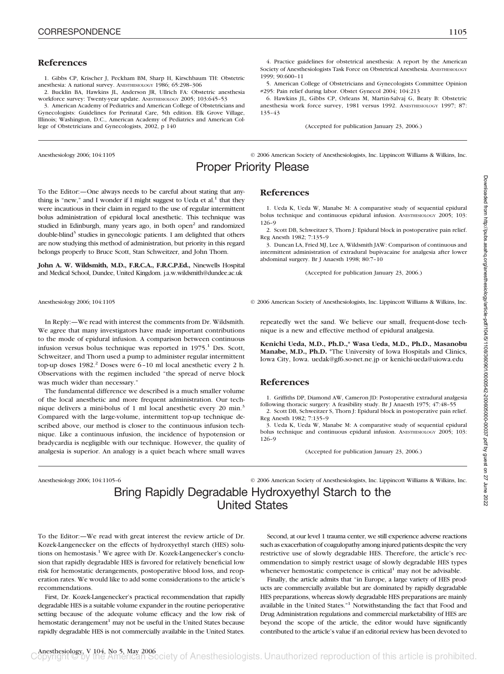### **References**

1. Gibbs CP, Krischer J, Peckham BM, Sharp H, Kirschbaum TH: Obstetric anesthesia: A national survey. ANESTHESIOLOGY 1986; 65:298–306

2. Bucklin BA, Hawkins JL, Anderson JR, Ullrich FA: Obstetric anesthesia workforce survey: Twenty-year update. ANESTHESIOLOGY 2005; 103:645–53

3. American Academy of Pediatrics and American College of Obstetricians and Gynecologists: Guidelines for Perinatal Care, 5th edition. Elk Grove Village, Illinois; Washington, D.C., American Academy of Pediatrics and American College of Obstetricians and Gynecologists, 2002, p 140

4. Practice guidelines for obstetrical anesthesia: A report by the American Society of Anesthesiologists Task Force on Obstetrical Anesthesia. ANESTHESIOLOGY 1999; 90:600–11

5. American College of Obstetricians and Gynecologists Committee Opinion #295: Pain relief during labor. Obstet Gynecol 2004; 104:213

6. Hawkins JL, Gibbs CP, Orleans M, Martin-Salvaj G, Beaty B: Obstetric anesthesia work force survey, 1981 versus 1992. ANESTHESIOLOGY 1997; 87: 135–43

(Accepted for publication January 23, 2006.)

Anesthesiology 2006; 104:1105 © 2006 American Society of Anesthesiologists, Inc. Lippincott Williams & Wilkins, Inc. Proper Priority Please

To the Editor:—One always needs to be careful about stating that anything is "new," and I wonder if I might suggest to Ueda et al.<sup>1</sup> that they were incautious in their claim in regard to the use of regular intermittent bolus administration of epidural local anesthetic. This technique was studied in Edinburgh, many years ago, in both open<sup>2</sup> and randomized double-blind<sup>3</sup> studies in gynecologic patients. I am delighted that others are now studying this method of administration, but priority in this regard belongs properly to Bruce Scott, Stan Schweitzer, and John Thorn.

**John A. W. Wildsmith, M.D., F.R.C.A., F.R.C.P.Ed.,** Ninewells Hospital and Medical School, Dundee, United Kingdom. j.a.w.wildsmith@dundee.ac.uk

In Reply:—We read with interest the comments from Dr. Wildsmith. We agree that many investigators have made important contributions to the mode of epidural infusion. A comparison between continuous infusion versus bolus technique was reported in  $1975<sup>1</sup>$  Drs. Scott, Schweitzer, and Thorn used a pump to administer regular intermittent top-up doses  $1982<sup>2</sup>$  Doses were 6–10 ml local anesthetic every 2 h. Observations with the regimen included "the spread of nerve block was much wider than necessary."

The fundamental difference we described is a much smaller volume of the local anesthetic and more frequent administration. Our technique delivers a mini-bolus of 1 ml local anesthetic every 20 min.<sup>3</sup> Compared with the large-volume, intermittent top-up technique described above, our method is closer to the continuous infusion technique. Like a continuous infusion, the incidence of hypotension or bradycardia is negligible with our technique. However, the quality of analgesia is superior. An analogy is a quiet beach where small waves

#### **References**

1. Ueda K, Ueda W, Manabe M: A comparative study of sequential epidural bolus technique and continuous epidural infusion. ANESTHESIOLOGY 2005; 103: 126–9

2. Scott DB, Schweitzer S, Thorn J: Epidural block in postoperative pain relief. Reg Anesth 1982; 7:135–9

3. Duncan LA, Fried MJ, Lee A, Wildsmith JAW: Comparison of continuous and intermittent administration of extradural bupivacaine for analgesia after lower abdominal surgery. Br J Anaesth 1998; 80:7–10

(Accepted for publication January 23, 2006.)

Anesthesiology 2006; 104:1105 © 2006 American Society of Anesthesiologists, Inc. Lippincott Williams & Wilkins, Inc.

repeatedly wet the sand. We believe our small, frequent-dose technique is a new and effective method of epidural analgesia.

**Kenichi Ueda, M.D., Ph.D.,\* Wasa Ueda, M.D., Ph.D., Masanobu Manabe, M.D., Ph.D.** \*The University of Iowa Hospitals and Clinics, Iowa City, Iowa. uedak@gf6.so-net.ne.jp or kenichi-ueda@uiowa.edu

### **References**

1. Griffiths DP, Diamond AW, Cameron JD: Postoperative extradural analgesia following thoracic surgery: A feasibility study. Br J Anaesth 1975; 47:48–55

2. Scott DB, Schweitzer S, Thorn J: Epidural block in postoperative pain relief. Reg Anesth 1982; 7:135–9

3. Ueda K, Ueda W, Manabe M: A comparative study of sequential epidural bolus technique and continuous epidural infusion. ANESTHESIOLOGY 2005; 103: 126–9

(Accepted for publication January 23, 2006.)

Anesthesiology 2006; 104:1105–6 © 2006 American Society of Anesthesiologists, Inc. Lippincott Williams & Wilkins, Inc.

# Bring Rapidly Degradable Hydroxyethyl Starch to the United States

To the Editor:—We read with great interest the review article of Dr. Kozek-Langenecker on the effects of hydroxyethyl starch (HES) solutions on hemostasis.<sup>1</sup> We agree with Dr. Kozek-Langenecker's conclusion that rapidly degradable HES is favored for relatively beneficial low risk for hemostatic derangements, postoperative blood loss, and reoperation rates. We would like to add some considerations to the article's recommendations.

First, Dr. Kozek-Langenecker's practical recommendation that rapidly degradable HES is a suitable volume expander in the routine perioperative setting because of the adequate volume efficacy and the low risk of hemostatic derangement<sup>1</sup> may not be useful in the United States because rapidly degradable HES is not commercially available in the United States.

Second, at our level 1 trauma center, we still experience adverse reactions such as exacerbation of coagulopathy among injured patients despite the very restrictive use of slowly degradable HES. Therefore, the article's recommendation to simply restrict usage of slowly degradable HES types whenever hemostatic competence is critical<sup>1</sup> may not be advisable.

Finally, the article admits that "in Europe, a large variety of HES products are commercially available but are dominated by rapidly degradable HES preparations, whereas slowly degradable HES preparations are mainly available in the United States."1 Notwithstanding the fact that Food and Drug Administration regulations and commercial marketability of HES are beyond the scope of the article, the editor would have significantly contributed to the article's value if an editorial review has been devoted to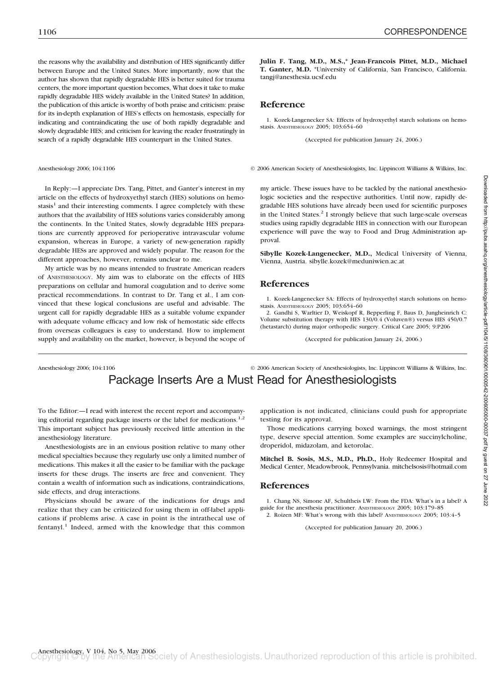the reasons why the availability and distribution of HES significantly differ between Europe and the United States. More importantly, now that the author has shown that rapidly degradable HES is better suited for trauma centers, the more important question becomes, What does it take to make rapidly degradable HES widely available in the United States? In addition, the publication of this article is worthy of both praise and criticism: praise for its in-depth explanation of HES's effects on hemostasis, especially for indicating and contraindicating the use of both rapidly degradable and slowly degradable HES; and criticism for leaving the reader frustratingly in search of a rapidly degradable HES counterpart in the United States.

In Reply:—I appreciate Drs. Tang, Pittet, and Ganter's interest in my article on the effects of hydroxyethyl starch (HES) solutions on hemostasis<sup>1</sup> and their interesting comments. I agree completely with these authors that the availability of HES solutions varies considerably among the continents. In the United States, slowly degradable HES preparations are currently approved for perioperative intravascular volume expansion, whereas in Europe, a variety of new-generation rapidly degradable HESs are approved and widely popular. The reason for the different approaches, however, remains unclear to me.

My article was by no means intended to frustrate American readers of ANESTHESIOLOGY. My aim was to elaborate on the effects of HES preparations on cellular and humoral coagulation and to derive some practical recommendations. In contrast to Dr. Tang et al., I am convinced that these logical conclusions are useful and advisable. The urgent call for rapidly degradable HES as a suitable volume expander with adequate volume efficacy and low risk of hemostatic side effects from overseas colleagues is easy to understand. How to implement supply and availability on the market, however, is beyond the scope of

**Julin F. Tang, M.D., M.S.,\* Jean-Francois Pittet, M.D., Michael T. Ganter, M.D.** \*University of California, San Francisco, California. tangj@anesthesia.ucsf.edu

### **Reference**

1. Kozek-Langenecker SA: Effects of hydroxyethyl starch solutions on hemostasis. ANESTHESIOLOGY 2005; 103:654–60

(Accepted for publication January 24, 2006.)

Anesthesiology 2006; 104:1106 © 2006 American Society of Anesthesiologists, Inc. Lippincott Williams & Wilkins, Inc.

my article. These issues have to be tackled by the national anesthesiologic societies and the respective authorities. Until now, rapidly degradable HES solutions have already been used for scientific purposes in the United States.<sup>2</sup> I strongly believe that such large-scale overseas studies using rapidly degradable HES in connection with our European experience will pave the way to Food and Drug Administration approval.

**Sibylle Kozek-Langenecker, M.D.,** Medical University of Vienna, Vienna, Austria. sibylle.kozek@meduniwien.ac.at

### **References**

1. Kozek-Langenecker SA: Effects of hydroxyethyl starch solutions on hemostasis. ANESTHESIOLOGY 2005; 103:654–60

2. Gandhi S, Warltier D, Weiskopf R, Bepperling F, Baus D, Jungheinrich C: Volume substitution therapy with HES 130/0.4 (Voluven®) versus HES 450/0.7 (hetastarch) during major orthopedic surgery. Critical Care 2005; 9:P206

(Accepted for publication January 24, 2006.)

Anesthesiology 2006; 104:1106 © 2006 American Society of Anesthesiologists, Inc. Lippincott Williams & Wilkins, Inc.

Package Inserts Are a Must Read for Anesthesiologists

To the Editor:—I read with interest the recent report and accompanying editorial regarding package inserts or the label for medications.<sup>1,2</sup> This important subject has previously received little attention in the anesthesiology literature.

Anesthesiologists are in an envious position relative to many other medical specialties because they regularly use only a limited number of medications. This makes it all the easier to be familiar with the package inserts for these drugs. The inserts are free and convenient. They contain a wealth of information such as indications, contraindications, side effects, and drug interactions.

Physicians should be aware of the indications for drugs and realize that they can be criticized for using them in off-label applications if problems arise. A case in point is the intrathecal use of fentanyl.<sup>1</sup> Indeed, armed with the knowledge that this common

application is not indicated, clinicians could push for appropriate testing for its approval.

Those medications carrying boxed warnings, the most stringent type, deserve special attention. Some examples are succinylcholine, droperidol, midazolam, and ketorolac.

**Mitchel B. Sosis, M.S., M.D., Ph.D.,** Holy Redeemer Hospital and Medical Center, Meadowbrook, Pennsylvania. mitchelsosis@hotmail.com

### **References**

1. Chang NS, Simone AF, Schultheis LW: From the FDA: What's in a label? A guide for the anesthesia practitioner. ANESTHESIOLOGY 2005; 103:179–85 2. Roizen MF: What's wrong with this label? ANESTHESIOLOGY 2005; 103:4–5

(Accepted for publication January 20, 2006.)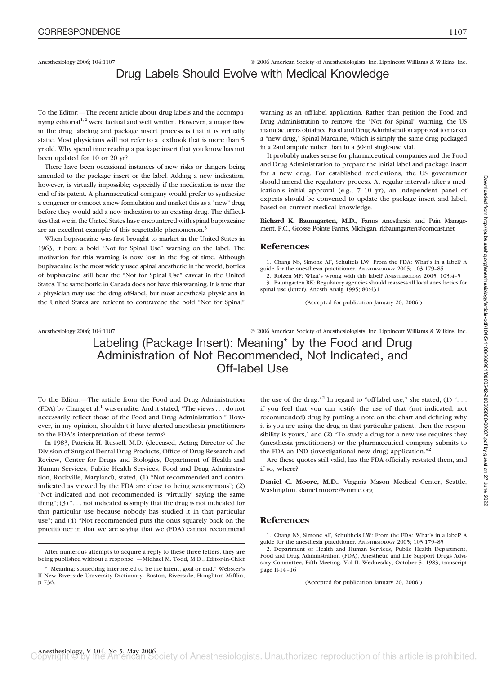Anesthesiology 2006; 104:1107 © 2006 American Society of Anesthesiologists, Inc. Lippincott Williams & Wilkins, Inc.

# Drug Labels Should Evolve with Medical Knowledge

To the Editor:—The recent article about drug labels and the accompanying editorial<sup>1,2</sup> were factual and well written. However, a major flaw in the drug labeling and package insert process is that it is virtually static. Most physicians will not refer to a textbook that is more than 5 yr old. Why spend time reading a package insert that you know has not been updated for 10 or 20 yr?

There have been occasional instances of new risks or dangers being amended to the package insert or the label. Adding a new indication, however, is virtually impossible; especially if the medication is near the end of its patent. A pharmaceutical company would prefer to synthesize a congener or concoct a new formulation and market this as a "new" drug before they would add a new indication to an existing drug. The difficulties that we in the United States have encountered with spinal bupivacaine are an excellent example of this regrettable phenomenon.<sup>3</sup>

When bupivacaine was first brought to market in the United States in 1963, it bore a bold "Not for Spinal Use" warning on the label. The motivation for this warning is now lost in the fog of time. Although bupivacaine is the most widely used spinal anesthetic in the world, bottles of bupivacaine still bear the "Not for Spinal Use" caveat in the United States. The same bottle in Canada does not have this warning. It is true that a physician may use the drug off-label, but most anesthesia physicians in the United States are reticent to contravene the bold "Not for Spinal"

warning as an off-label application. Rather than petition the Food and Drug Administration to remove the "Not for Spinal" warning, the US manufacturers obtained Food and Drug Administration approval to market a "new drug," Spinal Marcaine, which is simply the same drug packaged in a 2-ml ampule rather than in a 30-ml single-use vial.

It probably makes sense for pharmaceutical companies and the Food and Drug Administration to prepare the initial label and package insert for a new drug. For established medications, the US government should amend the regulatory process. At regular intervals after a medication's initial approval (e.g., 7–10 yr), an independent panel of experts should be convened to update the package insert and label, based on current medical knowledge.

**Richard K. Baumgarten, M.D.,** Farms Anesthesia and Pain Management, P.C., Grosse Pointe Farms, Michigan. rkbaumgarten@comcast.net

### **References**

1. Chang NS, Simone AF, Schulteis LW: From the FDA: What's in a label? A guide for the anesthesia practitioner. ANESTHESIOLOGY 2005; 103:179–85

2. Roizen MF: What's wrong with this label? ANESTHESIOLOGY 2005; 103:4–5 3. Baumgarten RK: Regulatory agencies should reassess all local anesthetics for spinal use (letter). Anesth Analg 1995; 80:431

(Accepted for publication January 20, 2006.)

Anesthesiology 2006; 104:1107 © 2006 American Society of Anesthesiologists, Inc. Lippincott Williams & Wilkins, Inc.

Labeling (Package Insert): Meaning\* by the Food and Drug Administration of Not Recommended, Not Indicated, and Off-label Use

To the Editor:—The article from the Food and Drug Administration (FDA) by Chang et al.<sup>1</sup> was erudite. And it stated, "The views . . . do not necessarily reflect those of the Food and Drug Administration." However, in my opinion, shouldn't it have alerted anesthesia practitioners to the FDA's interpretation of these terms?

In 1983, Patricia H. Russell, M.D. (deceased, Acting Director of the Division of Surgical-Dental Drug Products, Office of Drug Research and Review, Center for Drugs and Biologics, Department of Health and Human Services, Public Health Services, Food and Drug Administration, Rockville, Maryland), stated, (1) "Not recommended and contraindicated as viewed by the FDA are close to being synonymous"; (2) "Not indicated and not recommended is 'virtually' saying the same thing";  $(3)$  "... not indicated is simply that the drug is not indicated for that particular use because nobody has studied it in that particular use"; and (4) "Not recommended puts the onus squarely back on the practitioner in that we are saying that we (FDA) cannot recommend

the use of the drug."<sup>2</sup> In regard to "off-label use," she stated,  $(1)$  "... if you feel that you can justify the use of that (not indicated, not recommended) drug by putting a note on the chart and defining why it is you are using the drug in that particular patient, then the responsibility is yours," and (2) "To study a drug for a new use requires they (anesthesia practitioners) or the pharmaceutical company submits to the FDA an IND (investigational new drug) application.<sup>"2</sup>

Are these quotes still valid, has the FDA officially restated them, and if so, where?

**Daniel C. Moore, M.D.,** Virginia Mason Medical Center, Seattle, Washington. daniel.moore@vmmc.org

#### **References**

1. Chang NS, Simone AF, Schultheis LW: From the FDA: What's in a label? A guide for the anesthesia practitioner. ANESTHESIOLOGY 2005; 103:179–85

2. Department of Health and Human Services, Public Health Department, Food and Drug Administration (FDA), Anesthetic and Life Support Drugs Advisory Committee, Fifth Meeting. Vol II. Wednesday, October 5, 1983, transcript page II-14–16

(Accepted for publication January 20, 2006.)

After numerous attempts to acquire a reply to these three letters, they are being published without a response. —Michael M. Todd, M.D., Editor-in-Chief

<sup>\* &</sup>quot;Meaning: something interpreted to be the intent, goal or end." Webster's II New Riverside University Dictionary. Boston, Riverside, Houghton Mifflin, p 736.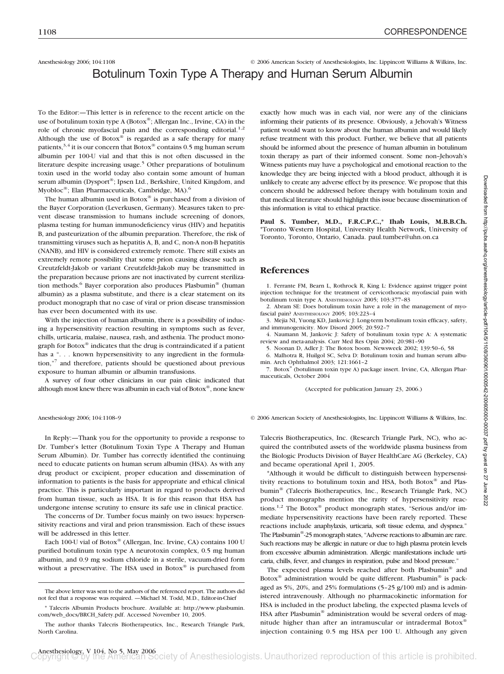Anesthesiology 2006; 104:1108 © 2006 American Society of Anesthesiologists, Inc. Lippincott Williams & Wilkins, Inc.

# Botulinum Toxin Type A Therapy and Human Serum Albumin

To the Editor:—This letter is in reference to the recent article on the use of botulinum toxin type A (Botox®; Allergan Inc., Irvine, CA) in the role of chronic myofascial pain and the corresponding editorial.<sup>1,2</sup> Although the use of Boto $x^{\circledast}$  is regarded as a safe therapy for many patients,3,4 it is our concern that Botox® contains 0.5 mg human serum albumin per 100-U vial and that this is not often discussed in the literature despite increasing usage.<sup>5</sup> Other preparations of botulinum toxin used in the world today also contain some amount of human serum albumin (Dysport®; Ipsen Ltd., Berkshire, United Kingdom, and Myobloc®; Elan Pharmaceuticals, Cambridge, MA).6

The human albumin used in Botox® is purchased from a division of the Bayer Corporation (Leverkusen, Germany). Measures taken to prevent disease transmission to humans include screening of donors, plasma testing for human immunodeficiency virus (HIV) and hepatitis B, and pasteurization of the albumin preparation. Therefore, the risk of transmitting viruses such as hepatitis A, B, and C, non-A non-B hepatitis (NANB), and HIV is considered extremely remote. There still exists an extremely remote possibility that some prion causing disease such as Creutzfeldt-Jakob or variant Creutzfeldt-Jakob may be transmitted in the preparation because prions are not inactivated by current sterilization methods.<sup>6</sup> Bayer corporation also produces Plasbumin® (human albumin) as a plasma substitute, and there is a clear statement on its product monograph that no case of viral or prion disease transmission has ever been documented with its use.

With the injection of human albumin, there is a possibility of inducing a hypersensitivity reaction resulting in symptoms such as fever, chills, urticaria, malaise, nausea, rash, and asthenia. The product monograph for Botox® indicates that the drug is contraindicated if a patient has a "... known hypersensitivity to any ingredient in the formulation,"7 and therefore, patients should be questioned about previous exposure to human albumin or albumin transfusions.

A survey of four other clinicians in our pain clinic indicated that although most knew there was albumin in each vial of Botox®, none knew

In Reply:—Thank you for the opportunity to provide a response to Dr. Tumber's letter (Botulinum Toxin Type A Therapy and Human Serum Albumin). Dr. Tumber has correctly identified the continuing need to educate patients on human serum albumin (HSA). As with any drug product or excipient, proper education and dissemination of information to patients is the basis for appropriate and ethical clinical practice. This is particularly important in regard to products derived from human tissue, such as HSA. It is for this reason that HSA has undergone intense scrutiny to ensure its safe use in clinical practice.

The concerns of Dr. Tumber focus mainly on two issues: hypersensitivity reactions and viral and prion transmission. Each of these issues will be addressed in this letter.

Each 100-U vial of Botox® (Allergan, Inc. Irvine, CA) contains 100 U purified botulinum toxin type A neurotoxin complex, 0.5 mg human albumin, and 0.9 mg sodium chloride in a sterile, vacuum-dried form without a preservative. The HSA used in Botox® is purchased from

The above letter was sent to the authors of the referenced report. The authors did not feel that a response was required. —Michael M. Todd, M.D., Editor-in-Chief

Talecris Albumin Products brochure. Available at: http://www.plasbumin. com/web\_docs/BRCH\_Safety.pdf. Accessed November 10, 2005.

The author thanks Talecris Biotherapeutics, Inc., Research Triangle Park, North Carolina.

exactly how much was in each vial, nor were any of the clinicians informing their patients of its presence. Obviously, a Jehovah's Witness patient would want to know about the human albumin and would likely refuse treatment with this product. Further, we believe that all patients should be informed about the presence of human albumin in botulinum toxin therapy as part of their informed consent. Some non–Jehovah's Witness patients may have a psychological and emotional reaction to the knowledge they are being injected with a blood product, although it is unlikely to create any adverse effect by its presence. We propose that this concern should be addressed before therapy with botulinum toxin and that medical literature should highlight this issue because dissemination of this information is vital to ethical practice.

**Paul S. Tumber, M.D., F.R.C.P.C.,\* Ihab Louis, M.B.B.Ch.** \*Toronto Western Hospital, University Health Network, University of Toronto, Toronto, Ontario, Canada. paul.tumber@uhn.on.ca

#### **References**

1. Ferrante FM, Bearn L, Rothrock R, King L: Evidence against trigger point injection technique for the treatment of cervicothoracic myofascial pain with botulinum toxin type A. ANESTHESIOLOGY 2005; 103:377–83

2. Abram SE: Does botulinum toxin have a role in the management of myofascial pain? ANESTHESIOLOGY 2005; 103:223–4

3. Mejia NI, Yuong KD, Jankovic J: Long-term botulinum toxin efficacy, safety, and immunogenicity. Mov Disord 2005; 20:592–7

4. Naumann M, Jankovic J: Safety of botulinum toxin type A: A systematic review and meta-analysis. Curr Med Res Opin 2004; 20:981–90

5. Noonan D, Adler J: The Botox boom. Newsweek 2002; 139:50–6, 58

6. Malhotra R, Huilgol SC, Selva D: Botulinum toxin and human serum albumin. Arch Ophthalmol 2003; 121:1661–2

7. Botox® (botulinum toxin type A) package insert. Irvine, CA, Allergan Pharmaceuticals, October 2004

(Accepted for publication January 23, 2006.)

Anesthesiology 2006; 104:1108–9 © 2006 American Society of Anesthesiologists, Inc. Lippincott Williams & Wilkins, Inc.

Talecris Biotherapeutics, Inc. (Research Triangle Park, NC), who acquired the contributed assets of the worldwide plasma business from the Biologic Products Division of Bayer HealthCare AG (Berkeley, CA) and became operational April 1, 2005.

\*Although it would be difficult to distinguish between hypersensitivity reactions to botulinum toxin and HSA, both Botox® and Plasbumin® (Talecris Biotherapeutics, Inc., Research Triangle Park, NC) product monographs mention the rarity of hypersensitivity reactions.1,2 The Botox® product monograph states, "Serious and/or immediate hypersensitivity reactions have been rarely reported. These reactions include anaphylaxis, urticaria, soft tissue edema, and dyspnea." The Plasbumin®-25 monograph states, "Adverse reactions to albumin are rare. Such reactions may be allergic in nature or due to high plasma protein levels from excessive albumin administration. Allergic manifestations include urticaria, chills, fever, and changes in respiration, pulse and blood pressure."

The expected plasma levels reached after both Plasbumin® and Botox® administration would be quite different. Plasbumin® is packaged as 5%, 20%, and 25% formulations (5–25 g/100 ml) and is administered intravenously. Although no pharmacokinetic information for HSA is included in the product labeling, the expected plasma levels of HSA after Plasbumin<sup>®</sup> administration would be several orders of magnitude higher than after an intramuscular or intradermal Botox<sup>®</sup> injection containing 0.5 mg HSA per 100 U. Although any given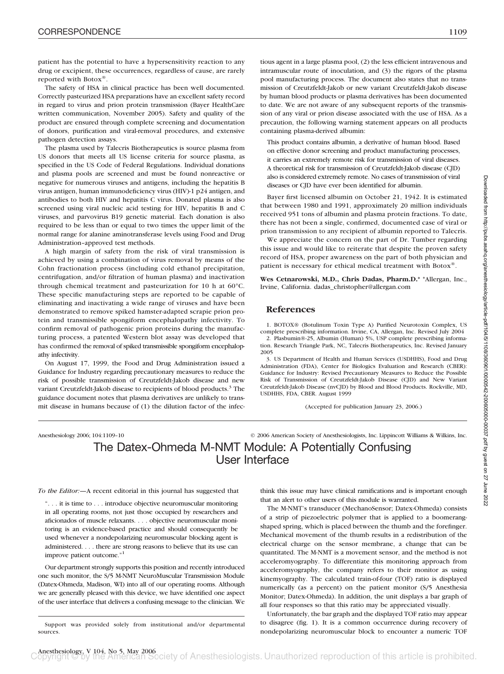patient has the potential to have a hypersensitivity reaction to any drug or excipient, these occurrences, regardless of cause, are rarely reported with Botox®.

The safety of HSA in clinical practice has been well documented. Correctly pasteurized HSA preparations have an excellent safety record in regard to virus and prion protein transmission (Bayer HealthCare written communication, November 2005). Safety and quality of the product are ensured through complete screening and documentation of donors, purification and viral-removal procedures, and extensive pathogen detection assays.

The plasma used by Talecris Biotherapeutics is source plasma from US donors that meets all US license criteria for source plasma, as specified in the US Code of Federal Regulations. Individual donations and plasma pools are screened and must be found nonreactive or negative for numerous viruses and antigens, including the hepatitis B virus antigen, human immunodeficiency virus (HIV)-1 p24 antigen, and antibodies to both HIV and hepatitis C virus. Donated plasma is also screened using viral nucleic acid testing for HIV, hepatitis B and C viruses, and parvovirus B19 genetic material. Each donation is also required to be less than or equal to two times the upper limit of the normal range for alanine aminotransferase levels using Food and Drug Administration–approved test methods.

A high margin of safety from the risk of viral transmission is achieved by using a combination of virus removal by means of the Cohn fractionation process (including cold ethanol precipitation, centrifugation, and/or filtration of human plasma) and inactivation through chemical treatment and pasteurization for 10 h at 60°C. These specific manufacturing steps are reported to be capable of eliminating and inactivating a wide range of viruses and have been demonstrated to remove spiked hamster-adapted scrapie prion protein and transmissible spongiform encephalopathy infectivity. To confirm removal of pathogenic prion proteins during the manufacturing process, a patented Western blot assay was developed that has confirmed the removal of spiked transmissible spongiform encephalopathy infectivity.

On August 17, 1999, the Food and Drug Administration issued a Guidance for Industry regarding precautionary measures to reduce the risk of possible transmission of Creutzfeldt-Jakob disease and new variant Creutzfeldt-Jakob disease to recipients of blood products.3 The guidance document notes that plasma derivatives are unlikely to transmit disease in humans because of (1) the dilution factor of the infec-

tious agent in a large plasma pool, (2) the less efficient intravenous and intramuscular route of inoculation, and (3) the rigors of the plasma pool manufacturing process. The document also states that no transmission of Creutzfeldt-Jakob or new variant Creutzfeldt-Jakob disease by human blood products or plasma derivatives has been documented to date. We are not aware of any subsequent reports of the transmission of any viral or prion disease associated with the use of HSA. As a precaution, the following warning statement appears on all products containing plasma-derived albumin:

This product contains albumin, a derivative of human blood. Based on effective donor screening and product manufacturing processes, it carries an extremely remote risk for transmission of viral diseases. A theoretical risk for transmission of Creutzfeldt-Jakob disease (CJD) also is considered extremely remote. No cases of transmission of viral diseases or CJD have ever been identified for albumin.

Bayer first licensed albumin on October 21, 1942. It is estimated that between 1980 and 1991, approximately 20 million individuals received 951 tons of albumin and plasma protein fractions. To date, there has not been a single, confirmed, documented case of viral or prion transmission to any recipient of albumin reported to Talecris.

We appreciate the concern on the part of Dr. Tumber regarding this issue and would like to reiterate that despite the proven safety record of HSA, proper awareness on the part of both physician and patient is necessary for ethical medical treatment with Botox®.

**Wes Cetnarowski, M.D., Chris Dadas, Pharm.D.\*** \*Allergan, Inc., Irvine, California. dadas\_christopher@allergan.com

#### **References**

1. BOTOX® (Botulinum Toxin Type A) Purified Neurotoxin Complex, US complete prescribing information. Irvine, CA, Allergan, Inc. Revised July 2004 2. Plasbumin®-25, Albumin (Human) 5%, USP complete prescribing information. Research Triangle Park, NC, Talecris Biotherapeutics, Inc. Revised January 2005

3. US Department of Health and Human Services (USDHHS), Food and Drug Administration (FDA), Center for Biologics Evaluation and Research (CBER): Guidance for Industry: Revised Precautionary Measures to Reduce the Possible Risk of Transmission of Creutzfeldt-Jakob Disease (CJD) and New Variant Creutzfeldt-Jakob Disease (nvCJD) by Blood and Blood Products. Rockville, MD, USDHHS, FDA, CBER. August 1999

(Accepted for publication January 23, 2006.)

Anesthesiology 2006; 104:1109–10 © 2006 American Society of Anesthesiologists, Inc. Lippincott Williams & Wilkins, Inc. The Datex-Ohmeda M-NMT Module: A Potentially Confusing User Interface

*To the Editor:*—A recent editorial in this journal has suggested that

". . . it is time to... introduce objective neuromuscular monitoring in all operating rooms, not just those occupied by researchers and aficionados of muscle relaxants.... objective neuromuscular monitoring is an evidence-based practice and should consequently be used whenever a nondepolarizing neuromuscular blocking agent is administered.... there are strong reasons to believe that its use can improve patient outcome."1

Our department strongly supports this position and recently introduced one such monitor, the S/5 M-NMT NeuroMuscular Transmission Module (Datex-Ohmeda, Madison, WI) into all of our operating rooms. Although we are generally pleased with this device, we have identified one aspect of the user interface that delivers a confusing message to the clinician. We

Support was provided solely from institutional and/or departmental sources.

think this issue may have clinical ramifications and is important enough that an alert to other users of this module is warranted.

The M-NMT's transducer (MechanoSensor; Datex-Ohmeda) consists of a strip of piezoelectric polymer that is applied to a boomerangshaped spring, which is placed between the thumb and the forefinger. Mechanical movement of the thumb results in a redistribution of the electrical charge on the sensor membrane, a change that can be quantitated. The M-NMT is a movement sensor, and the method is not acceleromyography. To differentiate this monitoring approach from acceleromyography, the company refers to their monitor as using kinemyography. The calculated train-of-four (TOF) ratio is displayed numerically (as a percent) on the patient monitor (S/5 Anesthesia Monitor; Datex-Ohmeda). In addition, the unit displays a bar graph of all four responses so that this ratio may be appreciated visually.

Unfortunately, the bar graph and the displayed TOF ratio may appear to disagree (fig. 1). It is a common occurrence during recovery of nondepolarizing neuromuscular block to encounter a numeric TOF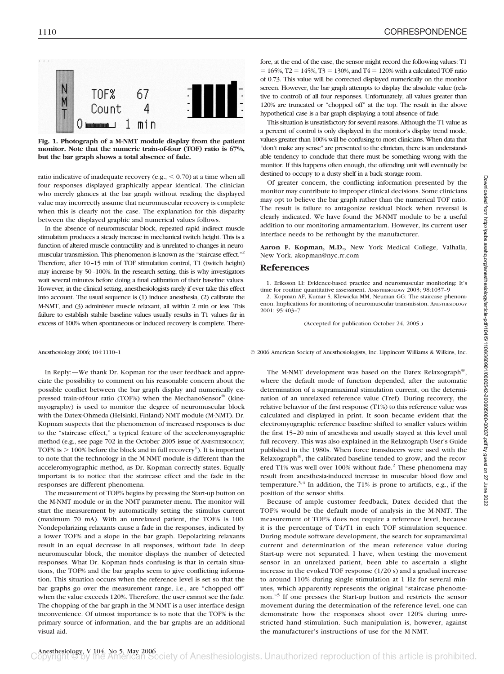

**Fig. 1. Photograph of a M-NMT module display from the patient monitor. Note that the numeric train-of-four (TOF) ratio is 67%, but the bar graph shows a total absence of fade.**

ratio indicative of inadequate recovery (e.g.,  $\leq 0.70$ ) at a time when all four responses displayed graphically appear identical. The clinician who merely glances at the bar graph without reading the displayed value may incorrectly assume that neuromuscular recovery is complete when this is clearly not the case. The explanation for this disparity between the displayed graphic and numerical values follows.

In the absence of neuromuscular block, repeated rapid indirect muscle stimulation produces a steady increase in mechanical twitch height. This is a function of altered muscle contractility and is unrelated to changes in neuromuscular transmission. This phenomenon is known as the "staircase effect."2 Therefore, after 10–15 min of TOF stimulation control, T1 (twitch height) may increase by 50–100%. In the research setting, this is why investigators wait several minutes before doing a final calibration of their baseline values. However, in the clinical setting, anesthesiologists rarely if ever take this effect into account. The usual sequence is (1) induce anesthesia, (2) calibrate the M-NMT, and (3) administer muscle relaxant, all within 2 min or less. This failure to establish stabile baseline values usually results in T1 values far in excess of 100% when spontaneous or induced recovery is complete. There-

In Reply:—We thank Dr. Kopman for the user feedback and appreciate the possibility to comment on his reasonable concern about the possible conflict between the bar graph display and numerically expressed train-of-four ratio (TOF%) when the MechanoSensor® (kinemyography) is used to monitor the degree of neuromuscular block with the Datex-Ohmeda (Helsinki, Finland) NMT module (M-NMT). Dr. Kopman suspects that the phenomenon of increased responses is due to the "staircase effect," a typical feature of the acceleromyographic method (e.g., see page 702 in the October 2005 issue of ANESTHESIOLOGY; TOF% is  $> 100\%$  before the block and in full recovery<sup>1</sup>). It is important to note that the technology in the M-NMT module is different than the acceleromyographic method, as Dr. Kopman correctly states. Equally important is to notice that the staircase effect and the fade in the responses are different phenomena.

The measurement of TOF% begins by pressing the Start-up button on the M-NMT module or in the NMT parameter menu. The monitor will start the measurement by automatically setting the stimulus current (maximum 70 mA). With an unrelaxed patient, the TOF% is 100. Nondepolarizing relaxants cause a fade in the responses, indicated by a lower TOF% and a slope in the bar graph. Depolarizing relaxants result in an equal decrease in all responses, without fade. In deep neuromuscular block, the monitor displays the number of detected responses. What Dr. Kopman finds confusing is that in certain situations, the TOF% and the bar graphs seem to give conflicting information. This situation occurs when the reference level is set so that the bar graphs go over the measurement range, i.e., are "chopped off" when the value exceeds 120%. Therefore, the user cannot see the fade. The chopping of the bar graph in the M-NMT is a user interface design inconvenience. Of utmost importance is to note that the TOF% is the primary source of information, and the bar graphs are an additional visual aid.

fore, at the end of the case, the sensor might record the following values: T1  $= 165\%$ , T2  $= 145\%$ , T3  $= 130\%$ , and T4  $= 120\%$  with a calculated TOF ratio of 0.73. This value will be corrected displayed numerically on the monitor screen. However, the bar graph attempts to display the absolute value (relative to control) of all four responses. Unfortunately, all values greater than 120% are truncated or "chopped off" at the top. The result in the above hypothetical case is a bar graph displaying a total absence of fade.

This situation is unsatisfactory for several reasons. Although the T1 value as a percent of control is only displayed in the monitor's display trend mode, values greater than 100% will be confusing to most clinicians. When data that "don't make any sense" are presented to the clinician, there is an understandable tendency to conclude that there must be something wrong with the monitor. If this happens often enough, the offending unit will eventually be destined to occupy to a dusty shelf in a back storage room.

Of greater concern, the conflicting information presented by the monitor may contribute to improper clinical decisions. Some clinicians may opt to believe the bar graph rather than the numerical TOF ratio. The result is failure to antagonize residual block when reversal is clearly indicated. We have found the M-NMT module to be a useful addition to our monitoring armamentarium. However, its current user interface needs to be rethought by the manufacturer.

**Aaron F. Kopman, M.D.,** New York Medical College, Valhalla, New York. akopman@nyc.rr.com

#### **References**

1. Eriksson LI: Evidence-based practice and neuromuscular monitoring: It's time for routine quantitative assessment. ANESTHESIOLOGY 2003; 98:1037–9

2. Kopman AF, Kumar S, Klewicka MM, Neuman GG: The staircase phenomenon: Implications for monitoring of neuromuscular transmission. ANESTHESIOLOGY 2001; 95:403–7

(Accepted for publication October 24, 2005.)

Anesthesiology 2006; 104:1110–1 © 2006 American Society of Anesthesiologists, Inc. Lippincott Williams & Wilkins, Inc.

The M-NMT development was based on the Datex Relaxograph®, where the default mode of function depended, after the automatic determination of a supramaximal stimulation current, on the determination of an unrelaxed reference value (Tref). During recovery, the relative behavior of the first response (T1%) to this reference value was calculated and displayed in print. It soon became evident that the electromyographic reference baseline shifted to smaller values within the first 15–20 min of anesthesia and usually stayed at this level until full recovery. This was also explained in the Relaxograph User's Guide published in the 1980s. When force transducers were used with the Relaxograph®, the calibrated baseline tended to grow, and the recovered T1% was well over 100% without fade.<sup>2</sup> These phenomena may result from anesthesia-induced increase in muscular blood flow and temperature. $3,4$  In addition, the T1% is prone to artifacts, e.g., if the position of the sensor shifts.

Because of ample customer feedback, Datex decided that the TOF% would be the default mode of analysis in the M-NMT. The measurement of TOF% does not require a reference level, because it is the percentage of T4/T1 in each TOF stimulation sequence. During module software development, the search for supramaximal current and determination of the mean reference value during Start-up were not separated. I have, when testing the movement sensor in an unrelaxed patient, been able to ascertain a slight increase in the evoked TOF response (1/20 s) and a gradual increase to around 110% during single stimulation at 1 Hz for several minutes, which apparently represents the original "staircase phenomenon."<sup>5</sup> If one presses the Start-up button and restricts the sensor movement during the determination of the reference level, one can demonstrate how the responses shoot over 120% during unrestricted hand stimulation. Such manipulation is, however, against the manufacturer's instructions of use for the M-NMT.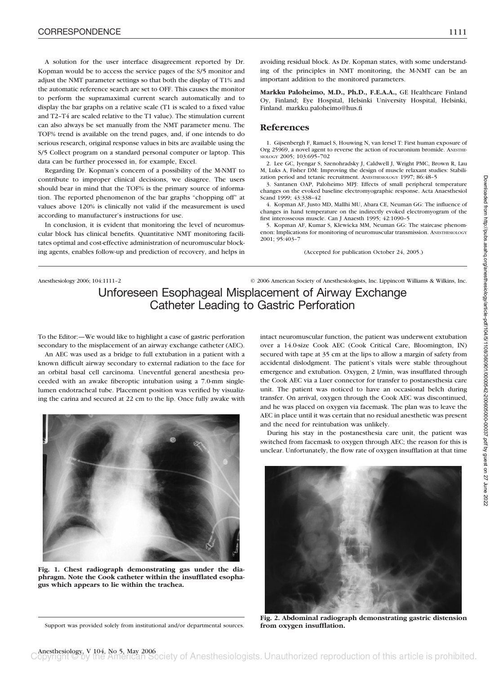A solution for the user interface disagreement reported by Dr. Kopman would be to access the service pages of the S/5 monitor and adjust the NMT parameter settings so that both the display of T1% and the automatic reference search are set to OFF. This causes the monitor to perform the supramaximal current search automatically and to display the bar graphs on a relative scale (T1 is scaled to a fixed value and T2–T4 are scaled relative to the T1 value). The stimulation current can also always be set manually from the NMT parameter menu. The TOF% trend is available on the trend pages, and, if one intends to do serious research, original response values in bits are available using the S/5 Collect program on a standard personal computer or laptop. This data can be further processed in, for example, Excel.

Regarding Dr. Kopman's concern of a possibility of the M-NMT to contribute to improper clinical decisions, we disagree. The users should bear in mind that the TOF% is the primary source of information. The reported phenomenon of the bar graphs "chopping off" at values above 120% is clinically not valid if the measurement is used according to manufacturer's instructions for use.

In conclusion, it is evident that monitoring the level of neuromuscular block has clinical benefits. Quantitative NMT monitoring facilitates optimal and cost-effective administration of neuromuscular blocking agents, enables follow-up and prediction of recovery, and helps in

avoiding residual block. As Dr. Kopman states, with some understanding of the principles in NMT monitoring, the M-NMT can be an important addition to the monitored parameters.

**Markku Paloheimo, M.D., Ph.D., F.E.A.A.,** GE Healthcare Finland Oy, Finland; Eye Hospital, Helsinki University Hospital, Helsinki, Finland. markku.paloheimo@hus.fi

### **References**

1. Gijsenbergh F, Ramael S, Houwing N, van Iersel T: First human exposure of Org 25969, a novel agent to reverse the action of rocuronium bromide. ANESTHE-SIOLOGY 2005; 103:695–702

2. Lee GC, Iyengar S, Szenohradsky J, Caldwell J, Wright PMC, Brown R, Lau M, Luks A, Fisher DM: Improving the design of muscle relaxant studies: Stabilization period and tetanic recruitment. ANESTHESIOLOGY 1997; 86:48-5

3. Santanen OAP, Paloheimo MPJ: Effects of small peripheral temperature changes on the evoked baseline electromyographic response. Acta Anaesthesiol Scand 1999; 43:338–42

4. Kopman AF, Justo MD, Mallhi MU, Abara CE, Neuman GG: The influence of changes in hand temperature on the indirectly evoked electromyogram of the first interosseous muscle. Can J Anaesth 1995; 42:1090–5

5. Kopman AF, Kumar S, Klewicka MM, Neuman GG: The staircase phenomenon: Implications for monitoring of neuromuscular transmission. ANESTHESIOLOGY 2001; 95:403–7

(Accepted for publication October 24, 2005.)

Anesthesiology 2006; 104:1111–2 © 2006 American Society of Anesthesiologists, Inc. Lippincott Williams & Wilkins, Inc.

# Unforeseen Esophageal Misplacement of Airway Exchange Catheter Leading to Gastric Perforation

To the Editor:—We would like to highlight a case of gastric perforation secondary to the misplacement of an airway exchange catheter (AEC).

An AEC was used as a bridge to full extubation in a patient with a known difficult airway secondary to external radiation to the face for an orbital basal cell carcinoma. Uneventful general anesthesia proceeded with an awake fiberoptic intubation using a 7.0-mm singlelumen endotracheal tube. Placement position was verified by visualizing the carina and secured at 22 cm to the lip. Once fully awake with



**Fig. 1. Chest radiograph demonstrating gas under the diaphragm. Note the Cook catheter within the insufflated esophagus which appears to lie within the trachea.**

Support was provided solely from institutional and/or departmental sources.

intact neuromuscular function, the patient was underwent extubation over a 14.0-size Cook AEC (Cook Critical Care, Bloomington, IN) secured with tape at 35 cm at the lips to allow a margin of safety from accidental dislodgment. The patient's vitals were stable throughout emergence and extubation. Oxygen, 2 l/min, was insufflated through the Cook AEC via a Luer connector for transfer to postanesthesia care unit. The patient was noticed to have an occasional belch during transfer. On arrival, oxygen through the Cook AEC was discontinued, and he was placed on oxygen via facemask. The plan was to leave the AEC in place until it was certain that no residual anesthetic was present and the need for reintubation was unlikely.

During his stay in the postanesthesia care unit, the patient was switched from facemask to oxygen through AEC; the reason for this is unclear. Unfortunately, the flow rate of oxygen insufflation at that time



**Fig. 2. Abdominal radiograph demonstrating gastric distension from oxygen insufflation.**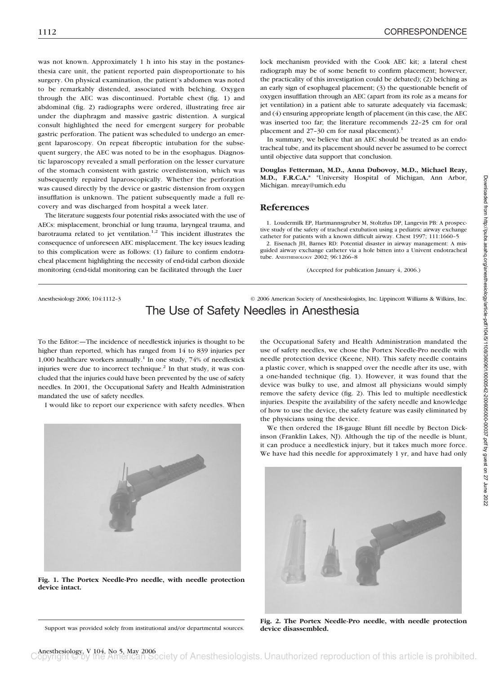was not known. Approximately 1 h into his stay in the postanesthesia care unit, the patient reported pain disproportionate to his surgery. On physical examination, the patient's abdomen was noted to be remarkably distended, associated with belching. Oxygen through the AEC was discontinued. Portable chest (fig. 1) and abdominal (fig. 2) radiographs were ordered, illustrating free air under the diaphragm and massive gastric distention. A surgical consult highlighted the need for emergent surgery for probable gastric perforation. The patient was scheduled to undergo an emergent laparoscopy. On repeat fiberoptic intubation for the subsequent surgery, the AEC was noted to be in the esophagus. Diagnostic laparoscopy revealed a small perforation on the lesser curvature of the stomach consistent with gastric overdistension, which was subsequently repaired laparoscopically. Whether the perforation was caused directly by the device or gastric distension from oxygen insufflation is unknown. The patient subsequently made a full recovery and was discharged from hospital a week later.

The literature suggests four potential risks associated with the use of AECs: misplacement, bronchial or lung trauma, laryngeal trauma, and barotrauma related to jet ventilation.<sup>1,2</sup> This incident illustrates the consequence of unforeseen AEC misplacement. The key issues leading to this complication were as follows: (1) failure to confirm endotracheal placement highlighting the necessity of end-tidal carbon dioxide monitoring (end-tidal monitoring can be facilitated through the Luer

lock mechanism provided with the Cook AEC kit; a lateral chest radiograph may be of some benefit to confirm placement; however, the practicality of this investigation could be debated); (2) belching as an early sign of esophageal placement; (3) the questionable benefit of oxygen insufflation through an AEC (apart from its role as a means for jet ventilation) in a patient able to saturate adequately via facemask; and (4) ensuring appropriate length of placement (in this case, the AEC was inserted too far; the literature recommends 22–25 cm for oral placement and  $27-30$  cm for nasal placement).<sup>1</sup>

In summary, we believe that an AEC should be treated as an endotracheal tube, and its placement should never be assumed to be correct until objective data support that conclusion.

**Douglas Fetterman, M.D., Anna Dubovoy, M.D., Michael Reay, M.D., F.R.C.A.\*** \*University Hospital of Michigan, Ann Arbor, Michigan. mreay@umich.edu

### **References**

1. Loudermilk EP, Hartmannsgruber M, Stoltzfus DP, Langevin PB: A prospective study of the safety of tracheal extubation using a pediatric airway exchange catheter for patients with a known difficult airway. Chest 1997; 111:1660–5

2. Eisenach JH, Barnes RD: Potential disaster in airway management: A misguided airway exchange catheter via a hole bitten into a Univent endotracheal tube. ANESTHESIOLOGY 2002; 96:1266–8

(Accepted for publication January 4, 2006.)

Anesthesiology 2006; 104:1112–3 © 2006 American Society of Anesthesiologists, Inc. Lippincott Williams & Wilkins, Inc.

The Use of Safety Needles in Anesthesia

To the Editor:—The incidence of needlestick injuries is thought to be higher than reported, which has ranged from 14 to 839 injuries per 1,000 healthcare workers annually.<sup>1</sup> In one study, 74% of needlestick injuries were due to incorrect technique.<sup>2</sup> In that study, it was concluded that the injuries could have been prevented by the use of safety needles. In 2001, the Occupational Safety and Health Administration mandated the use of safety needles.

I would like to report our experience with safety needles. When



**Fig. 1. The Portex Needle-Pro needle, with needle protection device intact.**

Support was provided solely from institutional and/or departmental sources.

the Occupational Safety and Health Administration mandated the use of safety needles, we chose the Portex Needle-Pro needle with needle protection device (Keene, NH). This safety needle contains a plastic cover, which is snapped over the needle after its use, with a one-handed technique (fig. 1). However, it was found that the device was bulky to use, and almost all physicians would simply remove the safety device (fig. 2). This led to multiple needlestick injuries. Despite the availability of the safety needle and knowledge of how to use the device, the safety feature was easily eliminated by the physicians using the device.

We then ordered the 18-gauge Blunt fill needle by Becton Dickinson (Franklin Lakes, NJ). Although the tip of the needle is blunt, it can produce a needlestick injury, but it takes much more force. We have had this needle for approximately 1 yr, and have had only



Downloaded from http://pubs.asahq.org/anesthesiology/article-pdf/104/5/1108/360901/0000542-2006000-00037.pdf by guest on 27 June 2022 Downloaded from http://pubs.asahq.org/anesthesiology/article-pdf/104/5/1108/360901/0000542-200605000-00037.pdf by guest on 27 June 2022

**Fig. 2. The Portex Needle-Pro needle, with needle protection device disassembled.**